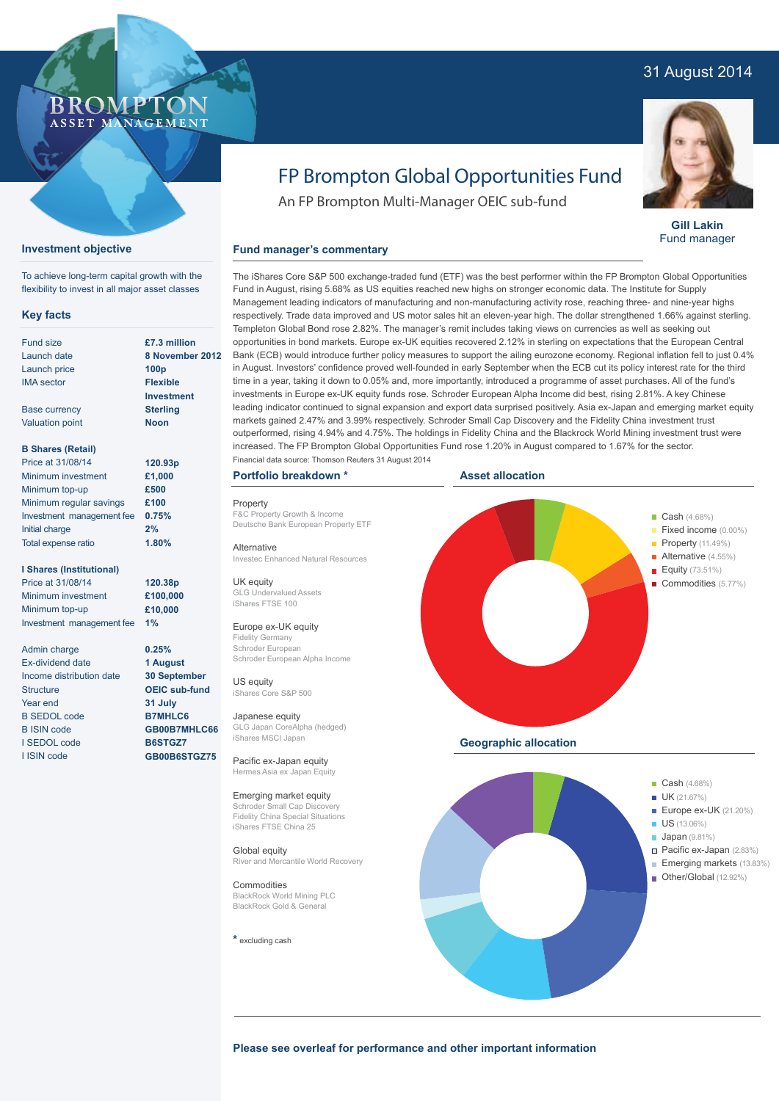# 31 August 2014



**Gill Lakin** Fund manager

# FP Brompton Global Opportunities Fund

The iShares Core S&P 500 exchange-traded fund (ETF) was the best performer within the FP Brompton Global Opportunities

An FP Brompton Multi-Manager OEIC sub-fund

## **Fund manager's commentary**

flexibility to invest in all major asset classes **£7.3 million 2012 100p Flexible Investment Sterling Noon** Fund in August, rising 5.68% as US equities reached new highs on stronger economic data. The Institute for Supply Management leading indicators of manufacturing and non-manufacturing activity rose, reaching three- and nine-year highs respectively. Trade data improved and US motor sales hit an eleven-year high. The dollar strengthened 1.66% against sterling. Templeton Global Bond rose 2.82%. The manager's remit includes taking views on currencies as well as seeking out opportunities in bond markets. Europe ex-UK equities recovered 2.12% in sterling on expectations that the European Central Bank (ECB) would introduce further policy measures to support the ailing eurozone economy. Regional inflation fell to just 0.4% in August. Investors' confidence proved well-founded in early September when the ECB cut its policy interest rate for the third time in a year, taking it down to 0.05% and, more importantly, introduced a programme of asset purchases. All of the fund's investments in Europe ex-UK equity funds rose. Schroder European Alpha Income did best, rising 2.81%. A key Chinese leading indicator continued to signal expansion and export data surprised positively. Asia ex-Japan and emerging market equity markets gained 2.47% and 3.99% respectively. Schroder Small Cap Discovery and the Fidelity China investment trust outperformed, rising 4.94% and 4.75%. The holdings in Fidelity China and the Blackrock World Mining investment trust were increased. The FP Brompton Global Opportunities Fund rose 1.20% in August compared to 1.67% for the sector.

# **Portfolio breakdown \***

Property F&C Property Growth & Income Deutsche Bank European Property ETF

Alternative Investec Enhanced Natural Resources

UK equity GLG Undervalued Assets iShares FTSE 100

### Europe ex-UK equity

Fidelity Germany Schroder European Schroder European Alpha Income

US equity iShares Core S&P 500 Japanese equity

GLG Japan CoreAlpha (hedged) iShares MSCI Japan

Pacific ex-Japan equity Hermes Asia ex Japan Equity

#### Emerging market equity Schroder Small Cap Disco

Fidelity China Special Situations iShares FTSE China 25

Global equity River and Mercantile World Recovery

Commodities BlackRock World Mining PLC BlackRock Gold & General

#### **\*** excluding cash





**Please see overleaf for performance and other important information**

| £7.3 million      |
|-------------------|
| 8 November        |
| 100 <sub>D</sub>  |
| <b>Flexible</b>   |
| <b>Investment</b> |
| <b>Sterling</b>   |
| Noon              |

**120.38p £100,000 £10,000**

#### **B Shares (Retail)**

Base currency Valuation point

**Key facts** Fund size Launch date Launch price IMA sector

**Investment objective**

To achieve long-term capital growth with the

ROMP ASSET MANAGEMENT

| 120.93p |
|---------|
| £1,000  |
| £500    |
| £100    |
| 0.75%   |
| 2%      |
| 1.80%   |
|         |

#### **I Shares (Institutional)**

Price at 31/08/14 Minimum investment Minimum top-up Investment management fee

Admin charge Ex-dividend date Income distribution date **Structure** Year end B SEDOL code B ISIN code I SEDOL code I ISIN code

**1% 0.25% 1 August 30 September OEIC sub-fund 31 July B7MHLC6 GB00B7MHLC66 B6STGZ7**

**GB00B6STGZ75**